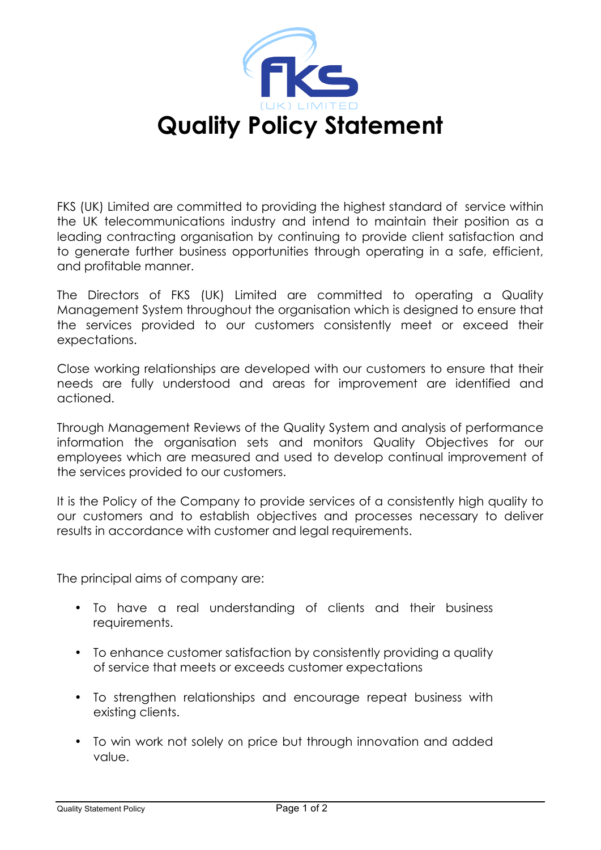

FKS (UK) Limited are committed to providing the highest standard of service within the UK telecommunications industry and intend to maintain their position as a leading contracting organisation by continuing to provide client satisfaction and to generate further business opportunities through operating in a safe, efficient, and profitable manner.

The Directors of FKS (UK) Limited are committed to operating a Quality Management System throughout the organisation which is designed to ensure that the services provided to our customers consistently meet or exceed their expectations.

Close working relationships are developed with our customers to ensure that their needs are fully understood and areas for improvement are identified and actioned.

Through Management Reviews of the Quality System and analysis of performance information the organisation sets and monitors Quality Objectives for our employees which are measured and used to develop continual improvement of the services provided to our customers.

It is the Policy of the Company to provide services of a consistently high quality to our customers and to establish objectives and processes necessary to deliver results in accordance with customer and legal requirements.

The principal aims of company are:

- To have a real understanding of clients and their business requirements.
- To enhance customer satisfaction by consistently providing a quality of service that meets or exceeds customer expectations
- To strengthen relationships and encourage repeat business with existing clients.
- To win work not solely on price but through innovation and added value.